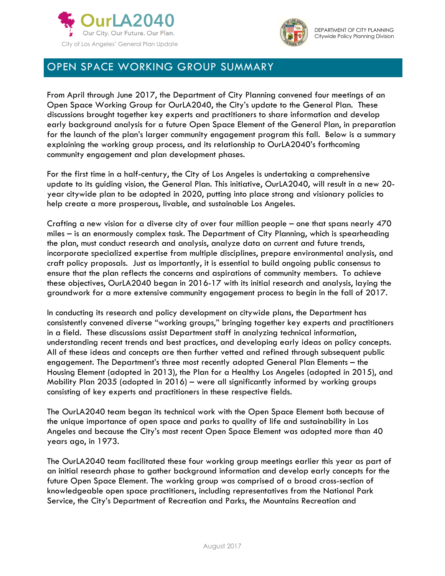



## OPEN SPACE WORKING GROUP SUMMARY

From April through June 2017, the Department of City Planning convened four meetings of an Open Space Working Group for OurLA2040, the City's update to the General Plan. These discussions brought together key experts and practitioners to share information and develop early background analysis for a future Open Space Element of the General Plan, in preparation for the launch of the plan's larger community engagement program this fall. Below is a summary explaining the working group process, and its relationship to OurLA2040's forthcoming community engagement and plan development phases.

For the first time in a half-century, the City of Los Angeles is undertaking a comprehensive update to its guiding vision, the General Plan. This initiative, OurLA2040, will result in a new 20 year citywide plan to be adopted in 2020, putting into place strong and visionary policies to help create a more prosperous, livable, and sustainable Los Angeles.

Crafting a new vision for a diverse city of over four million people – one that spans nearly 470 miles – is an enormously complex task. The Department of City Planning, which is spearheading the plan, must conduct research and analysis, analyze data on current and future trends, incorporate specialized expertise from multiple disciplines, prepare environmental analysis, and craft policy proposals. Just as importantly, it is essential to build ongoing public consensus to ensure that the plan reflects the concerns and aspirations of community members. To achieve these objectives, OurLA2040 began in 2016-17 with its initial research and analysis, laying the groundwork for a more extensive community engagement process to begin in the fall of 2017.

In conducting its research and policy development on citywide plans, the Department has consistently convened diverse "working groups," bringing together key experts and practitioners in a field. These discussions assist Department staff in analyzing technical information, understanding recent trends and best practices, and developing early ideas on policy concepts. All of these ideas and concepts are then further vetted and refined through subsequent public engagement. The Department's three most recently adopted General Plan Elements – the Housing Element (adopted in 2013), the Plan for a Healthy Los Angeles (adopted in 2015), and Mobility Plan 2035 (adopted in 2016) – were all significantly informed by working groups consisting of key experts and practitioners in these respective fields.

The OurLA2040 team began its technical work with the Open Space Element both because of the unique importance of open space and parks to quality of life and sustainability in Los Angeles and because the City's most recent Open Space Element was adopted more than 40 years ago, in 1973.

The OurLA2040 team facilitated these four working group meetings earlier this year as part of an initial research phase to gather background information and develop early concepts for the future Open Space Element. The working group was comprised of a broad cross-section of knowledgeable open space practitioners, including representatives from the National Park Service, the City's Department of Recreation and Parks, the Mountains Recreation and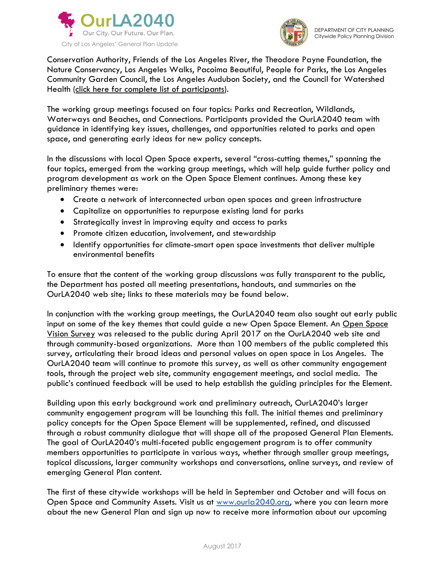



Conservation Authority, Friends of the Los Angeles River, the Theodore Payne Foundation, the Nature Conservancy, Los Angeles Walks, Pacoima Beautiful, People for Parks, the Los Angeles Community Garden Council, the Los Angeles Audubon Society, and the Council for Watershed Health [\(click here for complete list of participants\)](https://www.ourla2040.org/sites/default/files/Open_Space_Working_Group_ALL_Participants.pdf).

The working group meetings focused on four topics: Parks and Recreation, Wildlands, Waterways and Beaches, and Connections. Participants provided the OurLA2040 team with guidance in identifying key issues, challenges, and opportunities related to parks and open space, and generating early ideas for new policy concepts.

In the discussions with local Open Space experts, several "cross-cutting themes," spanning the four topics, emerged from the working group meetings, which will help guide further policy and program development as work on the Open Space Element continues. Among these key preliminary themes were:

- Create a network of interconnected urban open spaces and green infrastructure
- Capitalize on opportunities to repurpose existing land for parks
- Strategically invest in improving equity and access to parks
- Promote citizen education, involvement, and stewardship
- Identify opportunities for climate-smart open space investments that deliver multiple environmental benefits

To ensure that the content of the working group discussions was fully transparent to the public, the Department has posted all meeting presentations, handouts, and summaries on the OurLA2040 web site; links to these materials may be found below.

In conjunction with the working group meetings, the OurLA2040 team also sought out early public input on some of the key themes that could guide a new [Open Space](https://www.ourla2040.org/survey) Element. An Open Space [Vision Survey](https://www.ourla2040.org/survey) was released to the public during April 2017 on the OurLA2040 web site and through community-based organizations. More than 100 members of the public completed this survey, articulating their broad ideas and personal values on open space in Los Angeles. The OurLA2040 team will continue to promote this survey, as well as other community engagement tools, through the project web site, community engagement meetings, and social media. The public's continued feedback will be used to help establish the guiding principles for the Element.

Building upon this early background work and preliminary outreach, OurLA2040's larger community engagement program will be launching this fall. The initial themes and preliminary policy concepts for the Open Space Element will be supplemented, refined, and discussed through a robust community dialogue that will shape all of the proposed General Plan Elements. The goal of OurLA2040's multi-faceted public engagement program is to offer community members opportunities to participate in various ways, whether through smaller group meetings, topical discussions, larger community workshops and conversations, online surveys, and review of emerging General Plan content.

The first of these citywide workshops will be held in September and October and will focus on Open Space and Community Assets. Visit us at [www.ourla2040.org,](http://www.ourla2040.org/) where you can learn more about the new General Plan and sign up now to receive more information about our upcoming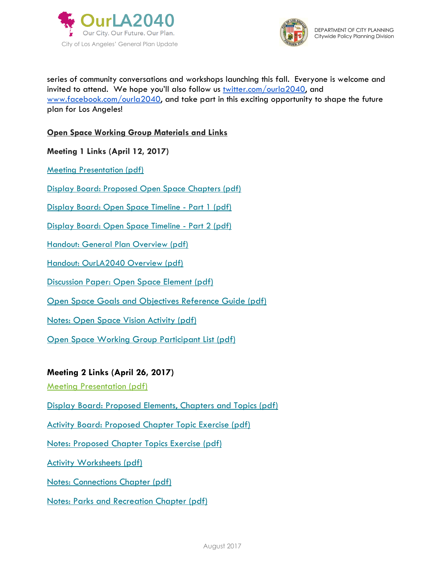



series of community conversations and workshops launching this fall. Everyone is welcome and invited to attend. We hope you'll also follow us [twitter.com/ourla2040,](http://twitter.com/ourla2040) and [www.facebook.com/ourla2040,](http://www.facebook.com/ourla2040) and take part in this exciting opportunity to shape the future plan for Los Angeles!

## **Open Space Working Group Materials and Links**

**Meeting 1 Links (April 12, 2017)**

[Meeting Presentation \(pdf\)](https://www.ourla2040.org/sites/default/files/1Open_Space_Working_Group_1_Presentation.pdf)

[Display Board: Proposed Open Space Chapters \(pdf\)](https://www.ourla2040.org/sites/default/files/1Display_Board_Open_Space_Proposed_Chapters_Visual_APRIL2017.pdf)

[Display Board: Open Space Timeline -](https://www.ourla2040.org/sites/default/files/1Display_Board_Open_Space_Timeline_1_APRIL2017.pdf) Part 1 (pdf)

[Display Board: Open Space Timeline -](https://www.ourla2040.org/sites/default/files/1Display_Board_Open_Space_Timeline_2_APRIL2017.pdf) Part 2 (pdf)

[Handout: General Plan Overview \(pdf\)](https://www.ourla2040.org/sites/default/files/1Los_Angeles_General_Plan_Overview_APRIL2017.pdf)

[Handout: OurLA2040 Overview \(pdf\)](https://www.ourla2040.org/sites/default/files/1OurLA2040_Overview_APRIL2017.pdf)

[Discussion Paper: Open Space Element \(pdf\)](https://www.ourla2040.org/sites/default/files/1Open_Space_Discussion_Paper_APRIL2017.pdf)

[Open Space Goals and Objectives Reference Guide \(pdf\)](https://www.ourla2040.org/sites/default/files/1Open_Space_Goals_Objectives_Reference_Guide_APRIL2017.pdf)

[Notes: Open Space Vision Activity \(pdf\)](https://www.ourla2040.org/sites/default/files/1Open_Space_Working_Group_1_Vision_Activity_Notes.pdf)

[Open Space Working Group Participant List \(pdf\)](https://www.ourla2040.org/sites/default/files/Open_Space_Working_Group_ALL_Participants.pdf)

## **Meeting 2 Links (April 26, 2017)**

[Meeting Presentation \(pdf\)](https://www.ourla2040.org/sites/default/files/2Open_Space_Working_Group_2_Presentation.pdf)

[Display Board: Proposed Elements, Chapters and Topics \(pdf\)](https://www.ourla2040.org/sites/default/files/2Display_Board_OurLA2040_Proposed_Elements_Chapters_Topics_APRIL2017.pdf)

[Activity Board: Proposed Chapter Topic Exercise \(pdf\)](https://www.ourla2040.org/sites/default/files/2Activity_Board_Topic_Exercise_Open_Space_Working_Group_2.pdf)

[Notes: Proposed Chapter Topics Exercise \(pdf\)](https://www.ourla2040.org/sites/default/files/2Open_Space_Working_Group_2_Topics_Exercise_Notes.pdf)

[Activity Worksheets \(pdf\)](https://www.ourla2040.org/sites/default/files/2Open_Space_Working_Group_2_Activity_Worksheets.pdf)

[Notes: Connections Chapter \(pdf\)](https://www.ourla2040.org/sites/default/files/2Open_Space_Working_Group_2_Connections_Notes.pdf)

[Notes: Parks and Recreation Chapter \(pdf\)](https://www.ourla2040.org/sites/default/files/2Open_Space_Working_Group_2_Parks_and_Recreation_Notes.pdf)